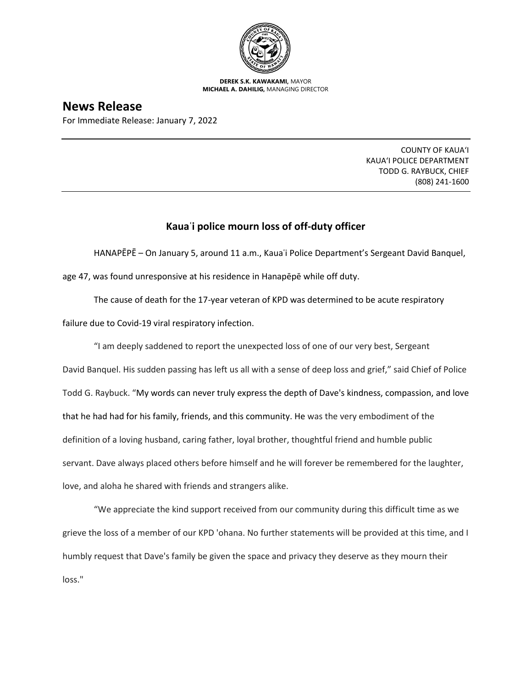

**DEREK S.K. KAWAKAMI,** MAYOR **MICHAEL A. DAHILIG,** MANAGING DIRECTOR

## **News Release**

For Immediate Release: January 7, 2022

COUNTY OF KAUA'I KAUA'I POLICE DEPARTMENT TODD G. RAYBUCK, CHIEF (808) 241-1600

## **Kauaʿi police mourn loss of off-duty officer**

HANAPĒPĒ – On January 5, around 11 a.m., Kauaʿi Police Department's Sergeant David Banquel,

age 47, was found unresponsive at his residence in Hanapēpē while off duty.

The cause of death for the 17-year veteran of KPD was determined to be acute respiratory

failure due to Covid-19 viral respiratory infection.

"I am deeply saddened to report the unexpected loss of one of our very best, Sergeant David Banquel. His sudden passing has left us all with a sense of deep loss and grief," said Chief of Police Todd G. Raybuck. "My words can never truly express the depth of Dave's kindness, compassion, and love that he had had for his family, friends, and this community. He was the very embodiment of the definition of a loving husband, caring father, loyal brother, thoughtful friend and humble public servant. Dave always placed others before himself and he will forever be remembered for the laughter, love, and aloha he shared with friends and strangers alike.

"We appreciate the kind support received from our community during this difficult time as we grieve the loss of a member of our KPD 'ohana. No further statements will be provided at this time, and I humbly request that Dave's family be given the space and privacy they deserve as they mourn their loss."